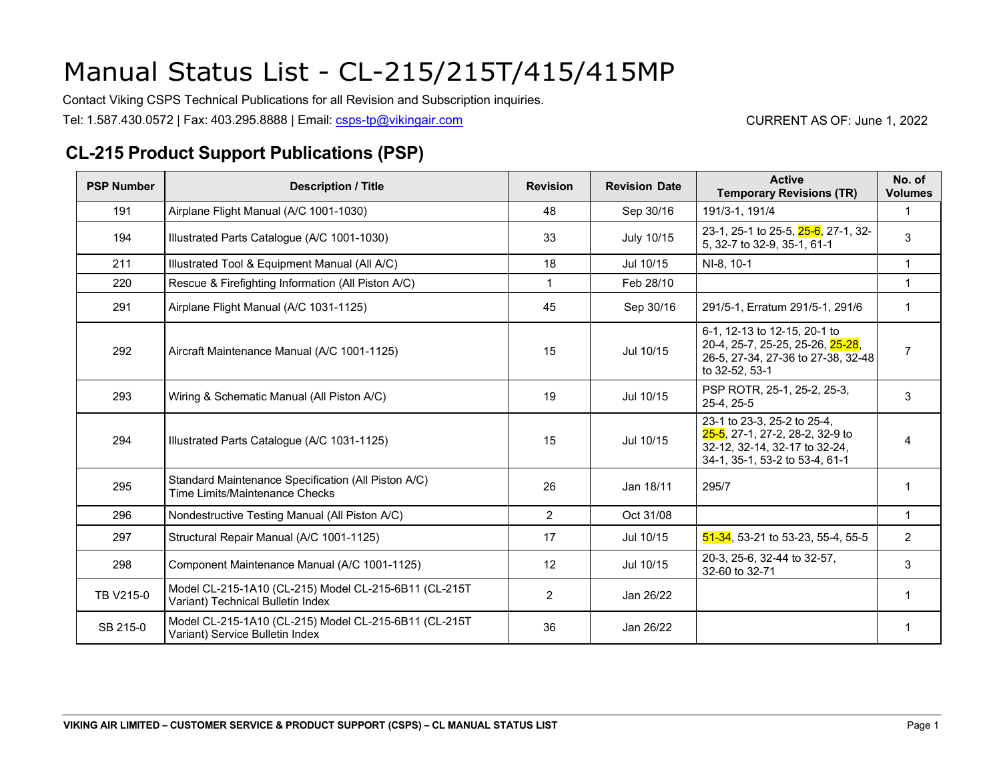Contact Viking CSPS Technical Publications for all Revision and Subscription inquiries.

Tel: 1.587.430.0572 | Fax: 403.295.8888 | Email: [csps-tp@vikingair.com](mailto:csps-tp@vikingair.com) CURRENT AS OF: June 1, 2022

#### **CL-215 Product Support Publications (PSP)**

| <b>PSP Number</b> | <b>Description / Title</b>                                                                 | <b>Revision</b> | <b>Revision Date</b> | <b>Active</b><br><b>Temporary Revisions (TR)</b>                                                                                  | No. of<br><b>Volumes</b> |
|-------------------|--------------------------------------------------------------------------------------------|-----------------|----------------------|-----------------------------------------------------------------------------------------------------------------------------------|--------------------------|
| 191               | Airplane Flight Manual (A/C 1001-1030)                                                     | 48              | Sep 30/16            | 191/3-1, 191/4                                                                                                                    | $\mathbf{1}$             |
| 194               | Illustrated Parts Catalogue (A/C 1001-1030)                                                | 33              | July 10/15           | 23-1, 25-1 to 25-5, 25-6, 27-1, 32-<br>5, 32-7 to 32-9, 35-1, 61-1                                                                | 3                        |
| 211               | Illustrated Tool & Equipment Manual (All A/C)                                              | 18              | Jul 10/15            | NI-8, 10-1                                                                                                                        | 1                        |
| 220               | Rescue & Firefighting Information (All Piston A/C)                                         |                 | Feb 28/10            |                                                                                                                                   | 1                        |
| 291               | Airplane Flight Manual (A/C 1031-1125)                                                     | 45              | Sep 30/16            | 291/5-1, Erratum 291/5-1, 291/6                                                                                                   | 1                        |
| 292               | Aircraft Maintenance Manual (A/C 1001-1125)                                                | 15              | Jul 10/15            | 6-1, 12-13 to 12-15, 20-1 to<br>20-4, 25-7, 25-25, 25-26, 25-28,<br>26-5, 27-34, 27-36 to 27-38, 32-48<br>to 32-52, 53-1          | $\overline{7}$           |
| 293               | Wiring & Schematic Manual (All Piston A/C)                                                 | 19              | Jul 10/15            | PSP ROTR, 25-1, 25-2, 25-3,<br>25-4, 25-5                                                                                         | 3                        |
| 294               | Illustrated Parts Catalogue (A/C 1031-1125)                                                | 15              | Jul 10/15            | 23-1 to 23-3, 25-2 to 25-4,<br>25-5, 27-1, 27-2, 28-2, 32-9 to<br>32-12, 32-14, 32-17 to 32-24,<br>34-1, 35-1, 53-2 to 53-4, 61-1 | 4                        |
| 295               | Standard Maintenance Specification (All Piston A/C)<br>Time Limits/Maintenance Checks      | 26              | Jan 18/11            | 295/7                                                                                                                             |                          |
| 296               | Nondestructive Testing Manual (All Piston A/C)                                             | $\overline{2}$  | Oct 31/08            |                                                                                                                                   | $\mathbf{1}$             |
| 297               | Structural Repair Manual (A/C 1001-1125)                                                   | 17              | Jul 10/15            | $51-34$ , 53-21 to 53-23, 55-4, 55-5                                                                                              | $\overline{2}$           |
| 298               | Component Maintenance Manual (A/C 1001-1125)                                               | 12              | Jul 10/15            | 20-3, 25-6, 32-44 to 32-57,<br>32-60 to 32-71                                                                                     | 3                        |
| TB V215-0         | Model CL-215-1A10 (CL-215) Model CL-215-6B11 (CL-215T<br>Variant) Technical Bulletin Index | $\overline{2}$  | Jan 26/22            |                                                                                                                                   |                          |
| SB 215-0          | Model CL-215-1A10 (CL-215) Model CL-215-6B11 (CL-215T<br>Variant) Service Bulletin Index   | 36              | Jan 26/22            |                                                                                                                                   |                          |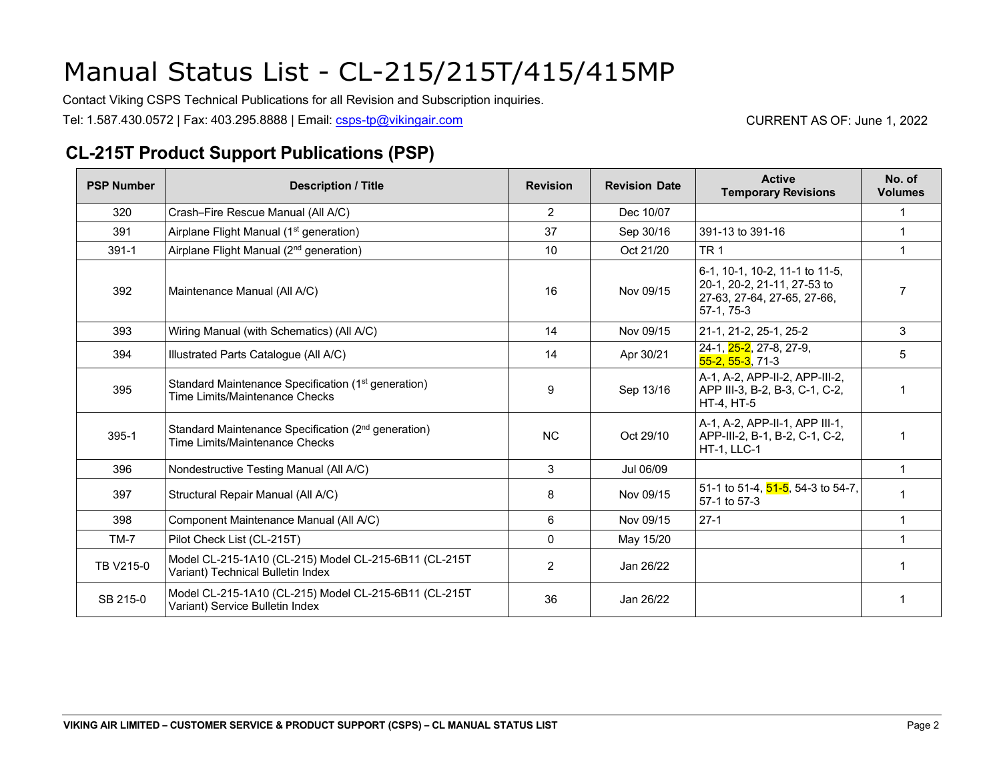Contact Viking CSPS Technical Publications for all Revision and Subscription inquiries.

Tel: 1.587.430.0572 | Fax: 403.295.8888 | Email: [csps-tp@vikingair.com](mailto:csps-tp@vikingair.com) CURRENT AS OF: June 1, 2022

#### **CL-215T Product Support Publications (PSP)**

| <b>PSP Number</b> | <b>Description / Title</b>                                                                         | <b>Revision</b> | <b>Revision Date</b> | <b>Active</b><br><b>Temporary Revisions</b>                                                                | No. of<br><b>Volumes</b> |
|-------------------|----------------------------------------------------------------------------------------------------|-----------------|----------------------|------------------------------------------------------------------------------------------------------------|--------------------------|
| 320               | Crash-Fire Rescue Manual (All A/C)                                                                 | $\overline{2}$  | Dec 10/07            |                                                                                                            |                          |
| 391               | Airplane Flight Manual (1 <sup>st</sup> generation)                                                | 37              | Sep 30/16            | 391-13 to 391-16                                                                                           |                          |
| $391 - 1$         | Airplane Flight Manual (2 <sup>nd</sup> generation)                                                | 10              | Oct 21/20            | TR <sub>1</sub>                                                                                            | 1                        |
| 392               | Maintenance Manual (All A/C)                                                                       | 16              | Nov 09/15            | 6-1, 10-1, 10-2, 11-1 to 11-5,<br>20-1, 20-2, 21-11, 27-53 to<br>27-63, 27-64, 27-65, 27-66,<br>57-1, 75-3 | $\overline{7}$           |
| 393               | Wiring Manual (with Schematics) (All A/C)                                                          | 14              | Nov 09/15            | 21-1, 21-2, 25-1, 25-2                                                                                     | 3                        |
| 394               | Illustrated Parts Catalogue (All A/C)                                                              | 14              | Apr 30/21            | 24-1, 25-2, 27-8, 27-9,<br>$55 - 2, 55 - 3, 71 - 3$                                                        | 5                        |
| 395               | Standard Maintenance Specification (1 <sup>st</sup> generation)<br>Time I imits/Maintenance Checks | 9               | Sep 13/16            | A-1, A-2, APP-II-2, APP-III-2,<br>APP III-3, B-2, B-3, C-1, C-2,<br>HT-4, HT-5                             |                          |
| 395-1             | Standard Maintenance Specification (2 <sup>nd</sup> generation)<br>Time Limits/Maintenance Checks  | <b>NC</b>       | Oct 29/10            | A-1, A-2, APP-II-1, APP III-1,<br>APP-III-2, B-1, B-2, C-1, C-2,<br>HT-1, LLC-1                            |                          |
| 396               | Nondestructive Testing Manual (All A/C)                                                            | 3               | Jul 06/09            |                                                                                                            | $\mathbf{1}$             |
| 397               | Structural Repair Manual (All A/C)                                                                 | 8               | Nov 09/15            | 51-1 to 51-4, 51-5, 54-3 to 54-7,<br>57-1 to 57-3                                                          |                          |
| 398               | Component Maintenance Manual (All A/C)                                                             | 6               | Nov 09/15            | $27-1$                                                                                                     | 1                        |
| $TM-7$            | Pilot Check List (CL-215T)                                                                         | 0               | May 15/20            |                                                                                                            |                          |
| TB V215-0         | Model CL-215-1A10 (CL-215) Model CL-215-6B11 (CL-215T<br>Variant) Technical Bulletin Index         | $\overline{2}$  | Jan 26/22            |                                                                                                            | 1                        |
| SB 215-0          | Model CL-215-1A10 (CL-215) Model CL-215-6B11 (CL-215T<br>Variant) Service Bulletin Index           | 36              | Jan 26/22            |                                                                                                            | 1                        |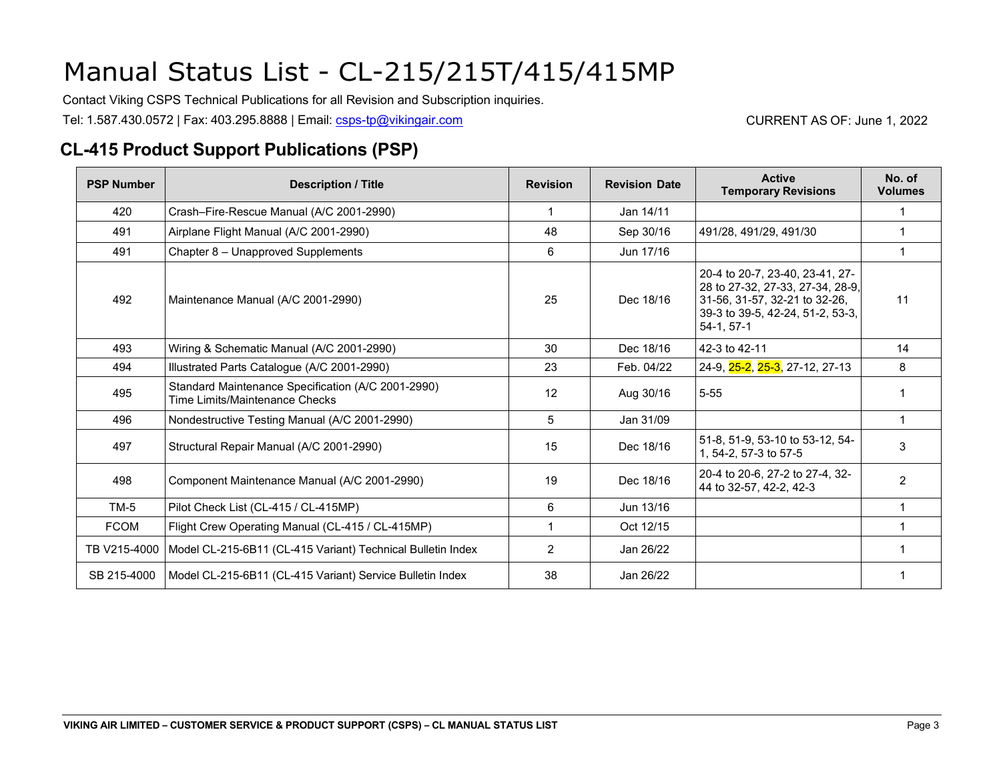Contact Viking CSPS Technical Publications for all Revision and Subscription inquiries.

Tel: 1.587.430.0572 | Fax: 403.295.8888 | Email: [csps-tp@vikingair.com](mailto:csps-tp@vikingair.com) CURRENT AS OF: June 1, 2022

#### **CL-415 Product Support Publications (PSP)**

| <b>PSP Number</b> | <b>Description / Title</b>                                                           | <b>Revision</b> | <b>Revision Date</b> | <b>Active</b><br><b>Temporary Revisions</b>                                                                                                             | No. of<br><b>Volumes</b> |
|-------------------|--------------------------------------------------------------------------------------|-----------------|----------------------|---------------------------------------------------------------------------------------------------------------------------------------------------------|--------------------------|
| 420               | Crash-Fire-Rescue Manual (A/C 2001-2990)                                             |                 | Jan 14/11            |                                                                                                                                                         |                          |
| 491               | Airplane Flight Manual (A/C 2001-2990)                                               | 48              | Sep 30/16            | 491/28, 491/29, 491/30                                                                                                                                  |                          |
| 491               | Chapter 8 - Unapproved Supplements                                                   | 6               | Jun 17/16            |                                                                                                                                                         | 1                        |
| 492               | Maintenance Manual (A/C 2001-2990)                                                   | 25              | Dec 18/16            | 20-4 to 20-7, 23-40, 23-41, 27-<br>28 to 27-32, 27-33, 27-34, 28-9,<br>31-56, 31-57, 32-21 to 32-26,<br>39-3 to 39-5, 42-24, 51-2, 53-3,<br>$54-1.57-1$ | 11                       |
| 493               | Wiring & Schematic Manual (A/C 2001-2990)                                            | 30              | Dec 18/16            | 42-3 to 42-11                                                                                                                                           | 14                       |
| 494               | Illustrated Parts Catalogue (A/C 2001-2990)                                          | 23              | Feb. 04/22           | 24-9, 25-2, 25-3, 27-12, 27-13                                                                                                                          | 8                        |
| 495               | Standard Maintenance Specification (A/C 2001-2990)<br>Time Limits/Maintenance Checks | 12              | Aug 30/16            | $5 - 55$                                                                                                                                                |                          |
| 496               | Nondestructive Testing Manual (A/C 2001-2990)                                        | 5               | Jan 31/09            |                                                                                                                                                         | 1                        |
| 497               | Structural Repair Manual (A/C 2001-2990)                                             | 15              | Dec 18/16            | 51-8, 51-9, 53-10 to 53-12, 54-<br>1, 54-2, 57-3 to 57-5                                                                                                | 3                        |
| 498               | Component Maintenance Manual (A/C 2001-2990)                                         | 19              | Dec 18/16            | 20-4 to 20-6, 27-2 to 27-4, 32-<br>44 to 32-57, 42-2, 42-3                                                                                              | $\overline{2}$           |
| $TM-5$            | Pilot Check List (CL-415 / CL-415MP)                                                 | 6               | Jun 13/16            |                                                                                                                                                         | 1                        |
| <b>FCOM</b>       | Flight Crew Operating Manual (CL-415 / CL-415MP)                                     |                 | Oct 12/15            |                                                                                                                                                         |                          |
| TB V215-4000      | Model CL-215-6B11 (CL-415 Variant) Technical Bulletin Index                          | 2               | Jan 26/22            |                                                                                                                                                         |                          |
| SB 215-4000       | Model CL-215-6B11 (CL-415 Variant) Service Bulletin Index                            | 38              | Jan 26/22            |                                                                                                                                                         |                          |